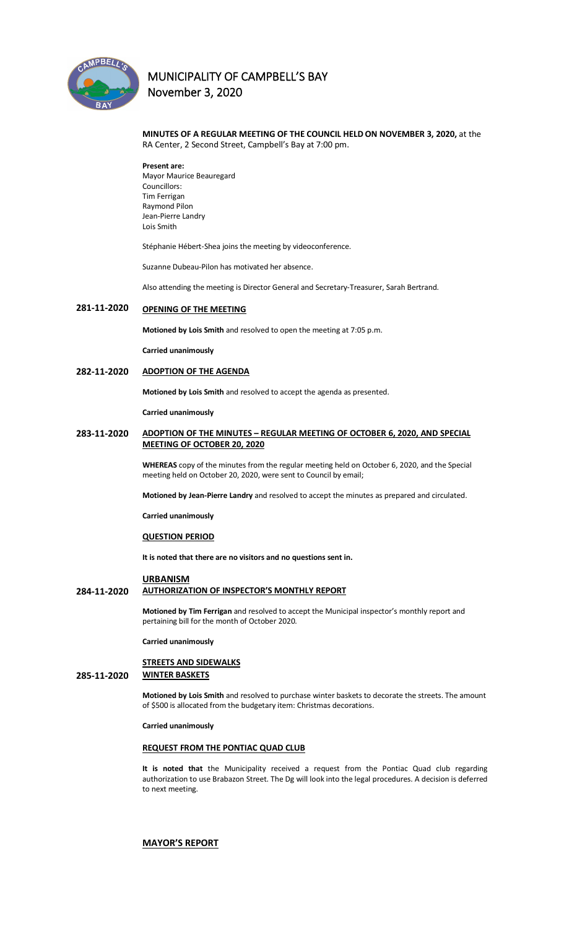

## **MINUTES OF A REGULAR MEETING OF THE COUNCIL HELD ON NOVEMBER 3, 2020,** at the RA Center, 2 Second Street, Campbell's Bay at 7:00 pm.

**Present are:**  Mayor Maurice Beauregard Councillors: Tim Ferrigan Raymond Pilon Jean-Pierre Landry Lois Smith

Stéphanie Hébert-Shea joins the meeting by videoconference.

Suzanne Dubeau-Pilon has motivated her absence.

Also attending the meeting is Director General and Secretary-Treasurer, Sarah Bertrand.

#### **281-11-2020 OPENING OF THE MEETING**

**Motioned by Lois Smith** and resolved to open the meeting at 7:05 p.m.

**Carried unanimously**

#### **282-11-2020 ADOPTION OF THE AGENDA**

**Motioned by Lois Smith** and resolved to accept the agenda as presented.

**Carried unanimously**

## **283-11-2020 ADOPTION OF THE MINUTES – REGULAR MEETING OF OCTOBER 6, 2020, AND SPECIAL MEETING OF OCTOBER 20, 2020**

**WHEREAS** copy of the minutes from the regular meeting held on October 6, 2020, and the Special meeting held on October 20, 2020, were sent to Council by email;

**Motioned by Jean-Pierre Landry** and resolved to accept the minutes as prepared and circulated.

**Carried unanimously**

#### **QUESTION PERIOD**

**It is noted that there are no visitors and no questions sent in.**

#### **URBANISM**

## **284-11-2020 AUTHORIZATION OF INSPECTOR'S MONTHLY REPORT**

**Motioned by Tim Ferrigan** and resolved to accept the Municipal inspector's monthly report and pertaining bill for the month of October 2020.

**Carried unanimously**

### **STREETS AND SIDEWALKS**

## **285-11-2020 WINTER BASKETS**

**Motioned by Lois Smith** and resolved to purchase winter baskets to decorate the streets. The amount of \$500 is allocated from the budgetary item: Christmas decorations.

**Carried unanimously**

## **REQUEST FROM THE PONTIAC QUAD CLUB**

**It is noted that** the Municipality received a request from the Pontiac Quad club regarding authorization to use Brabazon Street. The Dg will look into the legal procedures. A decision is deferred to next meeting.

#### **MAYOR'S REPORT**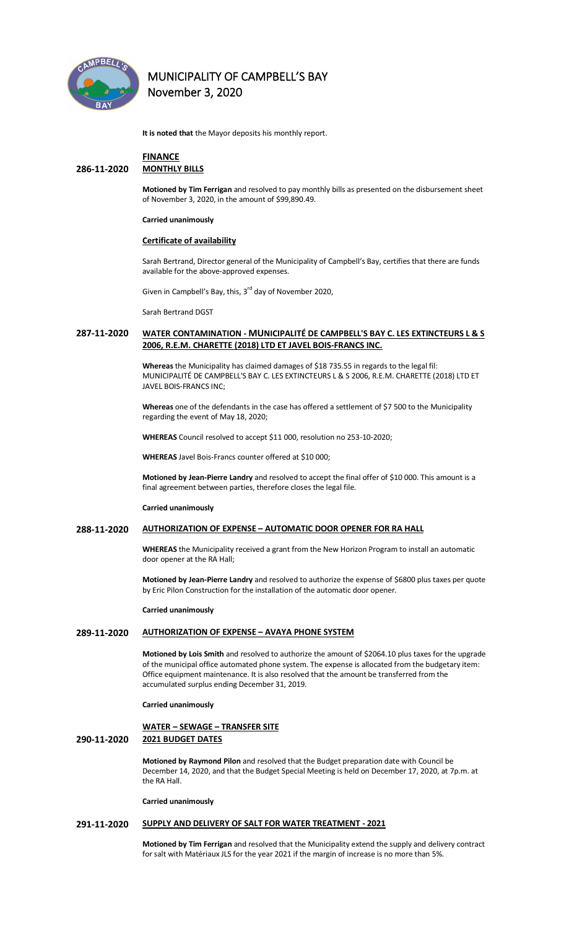

**It is noted that** the Mayor deposits his monthly report.

## **FINANCE**

## **286-11-2020 MONTHLY BILLS**

**Motioned by Tim Ferrigan** and resolved to pay monthly bills as presented on the disbursement sheet of November 3, 2020, in the amount of \$99,890.49.

#### **Carried unanimously**

#### **Certificate of availability**

Sarah Bertrand, Director general of the Municipality of Campbell's Bay, certifies that there are funds available for the above-approved expenses.

Given in Campbell's Bay, this, 3<sup>rd</sup> day of November 2020,

Sarah Bertrand DGST

## **287-11-2020 WATER CONTAMINATION - MUNICIPALITÉ DE CAMPBELL'S BAY C. LES EXTINCTEURS L & S 2006, R.E.M. CHARETTE (2018) LTD ET JAVEL BOIS-FRANCS INC.**

**Whereas** the Municipality has claimed damages of \$18 735.55 in regards to the legal fil: MUNICIPALITÉ DE CAMPBELL'S BAY C. LES EXTINCTEURS L & S 2006, R.E.M. CHARETTE (2018) LTD ET JAVEL BOIS-FRANCS INC;

**Whereas** one of the defendants in the case has offered a settlement of \$7 500 to the Municipality regarding the event of May 18, 2020;

**WHEREAS** Council resolved to accept \$11 000, resolution no 253-10-2020;

**WHEREAS** Javel Bois-Francs counter offered at \$10 000;

**Motioned by Jean-Pierre Landry** and resolved to accept the final offer of \$10 000. This amount is a final agreement between parties, therefore closes the legal file.

**Carried unanimously**

#### **288-11-2020 AUTHORIZATION OF EXPENSE – AUTOMATIC DOOR OPENER FOR RA HALL**

**WHEREAS** the Municipality received a grant from the New Horizon Program to install an automatic door opener at the RA Hall;

**Motioned by Jean-Pierre Landry** and resolved to authorize the expense of \$6800 plus taxes per quote by Eric Pilon Construction for the installation of the automatic door opener.

#### **Carried unanimously**

#### **289-11-2020 AUTHORIZATION OF EXPENSE – AVAYA PHONE SYSTEM**

**Motioned by Lois Smith** and resolved to authorize the amount of \$2064.10 plus taxes for the upgrade of the municipal office automated phone system. The expense is allocated from the budgetary item: Office equipment maintenance. It is also resolved that the amount be transferred from the accumulated surplus ending December 31, 2019.

**Carried unanimously**

## **WATER – SEWAGE – TRANSFER SITE 290-11-2020 2021 BUDGET DATES**

**Motioned by Raymond Pilon** and resolved that the Budget preparation date with Council be December 14, 2020, and that the Budget Special Meeting is held on December 17, 2020, at 7p.m. at the RA Hall.

**Carried unanimously**

#### **291-11-2020 SUPPLY AND DELIVERY OF SALT FOR WATER TREATMENT - 2021**

**Motioned by Tim Ferrigan** and resolved that the Municipality extend the supply and delivery contract for salt with Matériaux JLS for the year 2021 if the margin of increase is no more than 5%.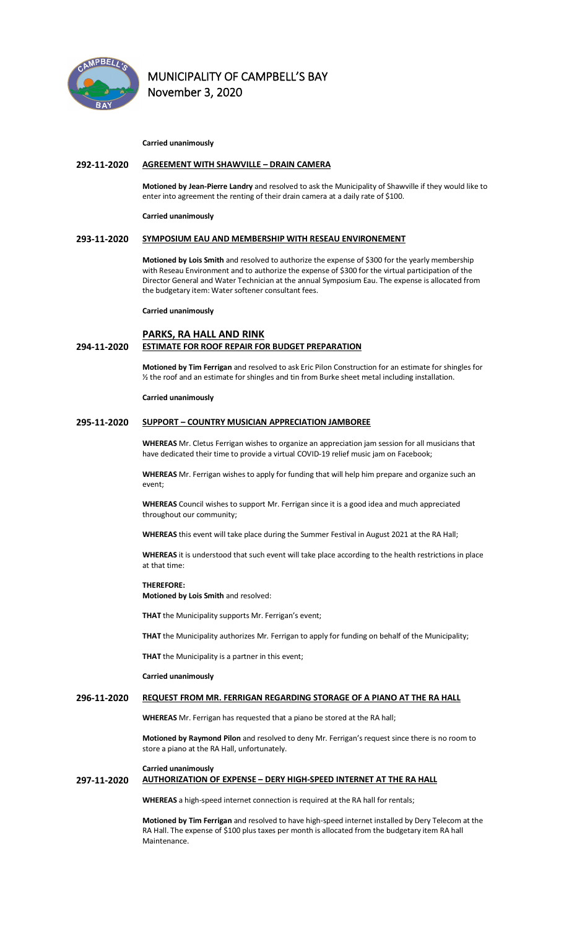

#### **Carried unanimously**

#### **292-11-2020 AGREEMENT WITH SHAWVILLE – DRAIN CAMERA**

**Motioned by Jean-Pierre Landry** and resolved to ask the Municipality of Shawville if they would like to enter into agreement the renting of their drain camera at a daily rate of \$100.

**Carried unanimously**

#### **293-11-2020 SYMPOSIUM EAU AND MEMBERSHIP WITH RESEAU ENVIRONEMENT**

**Motioned by Lois Smith** and resolved to authorize the expense of \$300 for the yearly membership with Reseau Environment and to authorize the expense of \$300 for the virtual participation of the Director General and Water Technician at the annual Symposium Eau. The expense is allocated from the budgetary item: Water softener consultant fees.

**Carried unanimously**

## **PARKS, RA HALL AND RINK 294-11-2020 ESTIMATE FOR ROOF REPAIR FOR BUDGET PREPARATION**

**Motioned by Tim Ferrigan** and resolved to ask Eric Pilon Construction for an estimate for shingles for ½ the roof and an estimate for shingles and tin from Burke sheet metal including installation.

**Carried unanimously** 

#### **295-11-2020 SUPPORT – COUNTRY MUSICIAN APPRECIATION JAMBOREE**

**WHEREAS** Mr. Cletus Ferrigan wishes to organize an appreciation jam session for all musicians that have dedicated their time to provide a virtual COVID-19 relief music jam on Facebook;

**WHEREAS** Mr. Ferrigan wishes to apply for funding that will help him prepare and organize such an event;

**WHEREAS** Council wishes to support Mr. Ferrigan since it is a good idea and much appreciated throughout our community;

**WHEREAS** this event will take place during the Summer Festival in August 2021 at the RA Hall;

**WHEREAS** it is understood that such event will take place according to the health restrictions in place at that time:

## **THEREFORE:**

**Motioned by Lois Smith** and resolved:

**THAT** the Municipality supports Mr. Ferrigan's event;

**THAT** the Municipality authorizes Mr. Ferrigan to apply for funding on behalf of the Municipality;

**THAT** the Municipality is a partner in this event;

**Carried unanimously**

#### **296-11-2020 REQUEST FROM MR. FERRIGAN REGARDING STORAGE OF A PIANO AT THE RA HALL**

**WHEREAS** Mr. Ferrigan has requested that a piano be stored at the RA hall;

**Motioned by Raymond Pilon** and resolved to deny Mr. Ferrigan's request since there is no room to store a piano at the RA Hall, unfortunately.

#### **Carried unanimously**

## **297-11-2020 AUTHORIZATION OF EXPENSE – DERY HIGH-SPEED INTERNET AT THE RA HALL**

**WHEREAS** a high-speed internet connection is required at the RA hall for rentals;

**Motioned by Tim Ferrigan** and resolved to have high-speed internet installed by Dery Telecom at the RA Hall. The expense of \$100 plus taxes per month is allocated from the budgetary item RA hall Maintenance.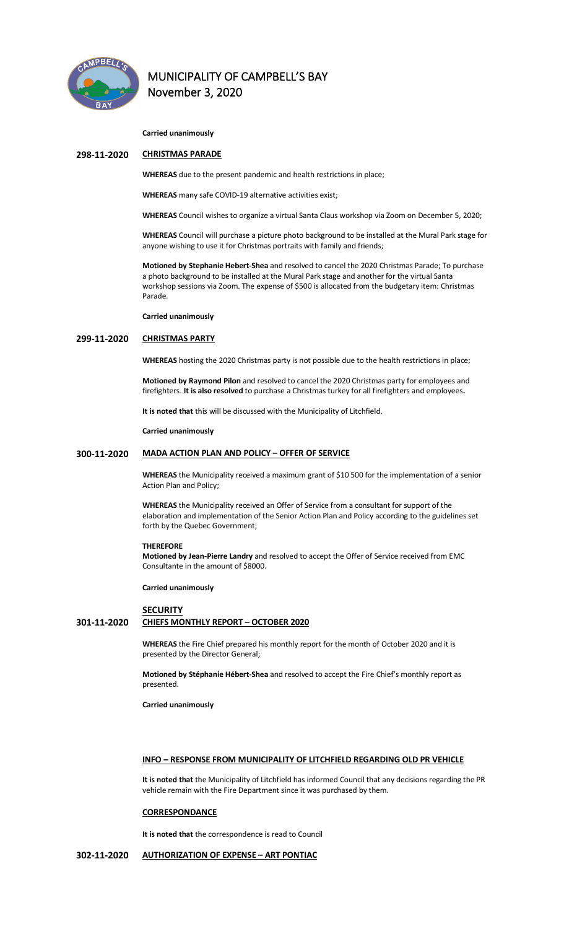

**Carried unanimously**

#### **298-11-2020 CHRISTMAS PARADE**

**WHEREAS** due to the present pandemic and health restrictions in place;

**WHEREAS** many safe COVID-19 alternative activities exist;

**WHEREAS** Council wishes to organize a virtual Santa Claus workshop via Zoom on December 5, 2020;

**WHEREAS** Council will purchase a picture photo background to be installed at the Mural Park stage for anyone wishing to use it for Christmas portraits with family and friends;

**Motioned by Stephanie Hebert-Shea** and resolved to cancel the 2020 Christmas Parade; To purchase a photo background to be installed at the Mural Park stage and another for the virtual Santa workshop sessions via Zoom. The expense of \$500 is allocated from the budgetary item: Christmas Parade.

**Carried unanimously**

## **299-11-2020 CHRISTMAS PARTY**

**WHEREAS** hosting the 2020 Christmas party is not possible due to the health restrictions in place;

**Motioned by Raymond Pilon** and resolved to cancel the 2020 Christmas party for employees and firefighters. **It is also resolved** to purchase a Christmas turkey for all firefighters and employees**.** 

**It is noted that** this will be discussed with the Municipality of Litchfield.

**Carried unanimously**

#### **300-11-2020 MADA ACTION PLAN AND POLICY – OFFER OF SERVICE**

**WHEREAS** the Municipality received a maximum grant of \$10 500 for the implementation of a senior Action Plan and Policy;

**WHEREAS** the Municipality received an Offer of Service from a consultant for support of the elaboration and implementation of the Senior Action Plan and Policy according to the guidelines set forth by the Quebec Government;

#### **THEREFORE**

**Motioned by Jean-Pierre Landry** and resolved to accept the Offer of Service received from EMC Consultante in the amount of \$8000.

**Carried unanimously**

#### **SECURITY**

## **301-11-2020 CHIEFS MONTHLY REPORT – OCTOBER 2020**

**WHEREAS** the Fire Chief prepared his monthly report for the month of October 2020 and it is presented by the Director General;

**Motioned by Stéphanie Hébert-Shea** and resolved to accept the Fire Chief's monthly report as presented.

**Carried unanimously**

### **INFO – RESPONSE FROM MUNICIPALITY OF LITCHFIELD REGARDING OLD PR VEHICLE**

**It is noted that** the Municipality of Litchfield has informed Council that any decisions regarding the PR vehicle remain with the Fire Department since it was purchased by them.

#### **CORRESPONDANCE**

**It is noted that** the correspondence is read to Council

## **302-11-2020 AUTHORIZATION OF EXPENSE – ART PONTIAC**